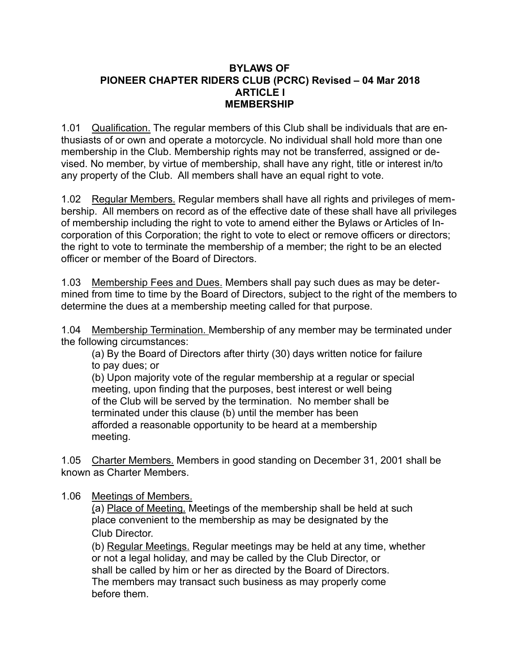#### **BYLAWS OF PIONEER CHAPTER RIDERS CLUB (PCRC) Revised – 04 Mar 2018 ARTICLE I MEMBERSHIP**

1.01 Qualification. The regular members of this Club shall be individuals that are enthusiasts of or own and operate a motorcycle. No individual shall hold more than one membership in the Club. Membership rights may not be transferred, assigned or devised. No member, by virtue of membership, shall have any right, title or interest in/to any property of the Club. All members shall have an equal right to vote.

1.02 Regular Members. Regular members shall have all rights and privileges of membership. All members on record as of the effective date of these shall have all privileges of membership including the right to vote to amend either the Bylaws or Articles of Incorporation of this Corporation; the right to vote to elect or remove officers or directors; the right to vote to terminate the membership of a member; the right to be an elected officer or member of the Board of Directors.

1.03 Membership Fees and Dues. Members shall pay such dues as may be determined from time to time by the Board of Directors, subject to the right of the members to determine the dues at a membership meeting called for that purpose.

1.04 Membership Termination. Membership of any member may be terminated under the following circumstances:

 (a) By the Board of Directors after thirty (30) days written notice for failure to pay dues; or

 (b) Upon majority vote of the regular membership at a regular or special meeting, upon finding that the purposes, best interest or well being of the Club will be served by the termination. No member shall be terminated under this clause (b) until the member has been afforded a reasonable opportunity to be heard at a membership meeting.

1.05 Charter Members. Members in good standing on December 31, 2001 shall be known as Charter Members.

### 1.06 Meetings of Members.

(a) Place of Meeting. Meetings of the membership shall be held at such place convenient to the membership as may be designated by the Club Director.

 (b) Regular Meetings. Regular meetings may be held at any time, whether or not a legal holiday, and may be called by the Club Director, or shall be called by him or her as directed by the Board of Directors. The members may transact such business as may properly come before them.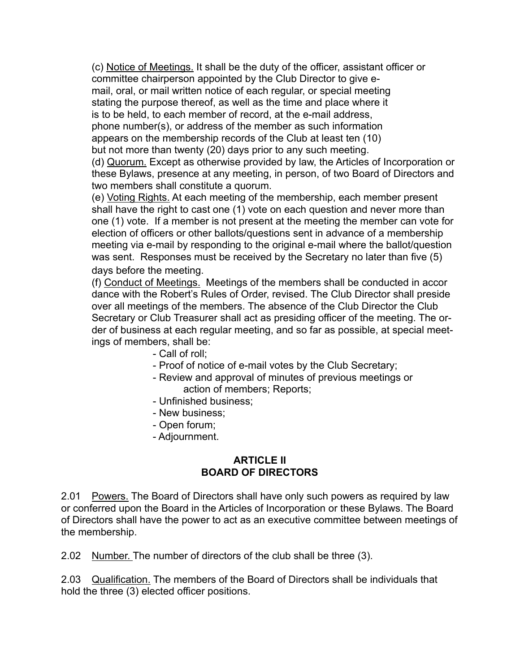(c) Notice of Meetings. It shall be the duty of the officer, assistant officer or committee chairperson appointed by the Club Director to give e mail, oral, or mail written notice of each regular, or special meeting stating the purpose thereof, as well as the time and place where it is to be held, to each member of record, at the e-mail address, phone number(s), or address of the member as such information appears on the membership records of the Club at least ten (10) but not more than twenty (20) days prior to any such meeting.

 (d) Quorum. Except as otherwise provided by law, the Articles of Incorporation or these Bylaws, presence at any meeting, in person, of two Board of Directors and two members shall constitute a quorum.

 (e) Voting Rights. At each meeting of the membership, each member present shall have the right to cast one (1) vote on each question and never more than one (1) vote. If a member is not present at the meeting the member can vote for election of officers or other ballots/questions sent in advance of a membership meeting via e-mail by responding to the original e-mail where the ballot/question was sent. Responses must be received by the Secretary no later than five (5) days before the meeting.

 (f) Conduct of Meetings. Meetings of the members shall be conducted in accor dance with the Robert's Rules of Order, revised. The Club Director shall preside over all meetings of the members. The absence of the Club Director the Club Secretary or Club Treasurer shall act as presiding officer of the meeting. The or der of business at each regular meeting, and so far as possible, at special meetings of members, shall be:

- Call of roll;
- Proof of notice of e-mail votes by the Club Secretary;
- Review and approval of minutes of previous meetings or action of members; Reports;
- Unfinished business;
- New business;
- Open forum;
- Adjournment.

### **ARTICLE II BOARD OF DIRECTORS**

2.01 Powers. The Board of Directors shall have only such powers as required by law or conferred upon the Board in the Articles of Incorporation or these Bylaws. The Board of Directors shall have the power to act as an executive committee between meetings of the membership.

2.02 Number. The number of directors of the club shall be three (3).

2.03 Qualification. The members of the Board of Directors shall be individuals that hold the three (3) elected officer positions.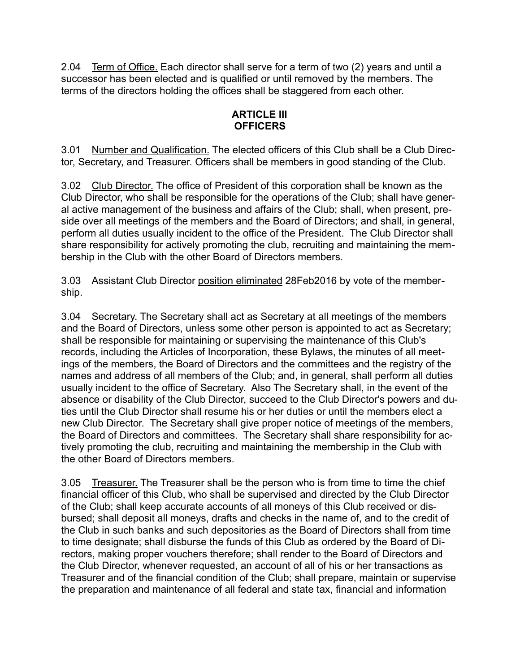2.04 Term of Office. Each director shall serve for a term of two (2) years and until a successor has been elected and is qualified or until removed by the members. The terms of the directors holding the offices shall be staggered from each other.

# **ARTICLE III OFFICERS**

3.01 Number and Qualification. The elected officers of this Club shall be a Club Director, Secretary, and Treasurer. Officers shall be members in good standing of the Club.

3.02 Club Director. The office of President of this corporation shall be known as the Club Director, who shall be responsible for the operations of the Club; shall have general active management of the business and affairs of the Club; shall, when present, preside over all meetings of the members and the Board of Directors; and shall, in general, perform all duties usually incident to the office of the President. The Club Director shall share responsibility for actively promoting the club, recruiting and maintaining the membership in the Club with the other Board of Directors members.

3.03 Assistant Club Director position eliminated 28Feb2016 by vote of the membership.

3.04 Secretary. The Secretary shall act as Secretary at all meetings of the members and the Board of Directors, unless some other person is appointed to act as Secretary; shall be responsible for maintaining or supervising the maintenance of this Club's records, including the Articles of Incorporation, these Bylaws, the minutes of all meetings of the members, the Board of Directors and the committees and the registry of the names and address of all members of the Club; and, in general, shall perform all duties usually incident to the office of Secretary. Also The Secretary shall, in the event of the absence or disability of the Club Director, succeed to the Club Director's powers and duties until the Club Director shall resume his or her duties or until the members elect a new Club Director. The Secretary shall give proper notice of meetings of the members, the Board of Directors and committees. The Secretary shall share responsibility for actively promoting the club, recruiting and maintaining the membership in the Club with the other Board of Directors members.

3.05 Treasurer. The Treasurer shall be the person who is from time to time the chief financial officer of this Club, who shall be supervised and directed by the Club Director of the Club; shall keep accurate accounts of all moneys of this Club received or disbursed; shall deposit all moneys, drafts and checks in the name of, and to the credit of the Club in such banks and such depositories as the Board of Directors shall from time to time designate; shall disburse the funds of this Club as ordered by the Board of Directors, making proper vouchers therefore; shall render to the Board of Directors and the Club Director, whenever requested, an account of all of his or her transactions as Treasurer and of the financial condition of the Club; shall prepare, maintain or supervise the preparation and maintenance of all federal and state tax, financial and information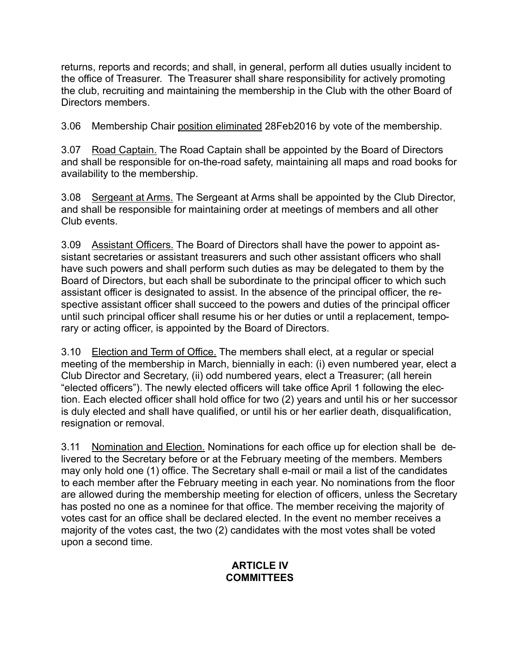returns, reports and records; and shall, in general, perform all duties usually incident to the office of Treasurer. The Treasurer shall share responsibility for actively promoting the club, recruiting and maintaining the membership in the Club with the other Board of Directors members.

3.06 Membership Chair position eliminated 28Feb2016 by vote of the membership.

3.07 Road Captain. The Road Captain shall be appointed by the Board of Directors and shall be responsible for on-the-road safety, maintaining all maps and road books for availability to the membership.

3.08 Sergeant at Arms. The Sergeant at Arms shall be appointed by the Club Director, and shall be responsible for maintaining order at meetings of members and all other Club events.

3.09 Assistant Officers. The Board of Directors shall have the power to appoint assistant secretaries or assistant treasurers and such other assistant officers who shall have such powers and shall perform such duties as may be delegated to them by the Board of Directors, but each shall be subordinate to the principal officer to which such assistant officer is designated to assist. In the absence of the principal officer, the respective assistant officer shall succeed to the powers and duties of the principal officer until such principal officer shall resume his or her duties or until a replacement, temporary or acting officer, is appointed by the Board of Directors.

3.10 Election and Term of Office. The members shall elect, at a regular or special meeting of the membership in March, biennially in each: (i) even numbered year, elect a Club Director and Secretary, (ii) odd numbered years, elect a Treasurer; (all herein "elected officers"). The newly elected officers will take office April 1 following the election. Each elected officer shall hold office for two (2) years and until his or her successor is duly elected and shall have qualified, or until his or her earlier death, disqualification, resignation or removal.

3.11 Nomination and Election. Nominations for each office up for election shall be delivered to the Secretary before or at the February meeting of the members. Members may only hold one (1) office. The Secretary shall e-mail or mail a list of the candidates to each member after the February meeting in each year. No nominations from the floor are allowed during the membership meeting for election of officers, unless the Secretary has posted no one as a nominee for that office. The member receiving the majority of votes cast for an office shall be declared elected. In the event no member receives a majority of the votes cast, the two (2) candidates with the most votes shall be voted upon a second time.

## **ARTICLE IV COMMITTEES**